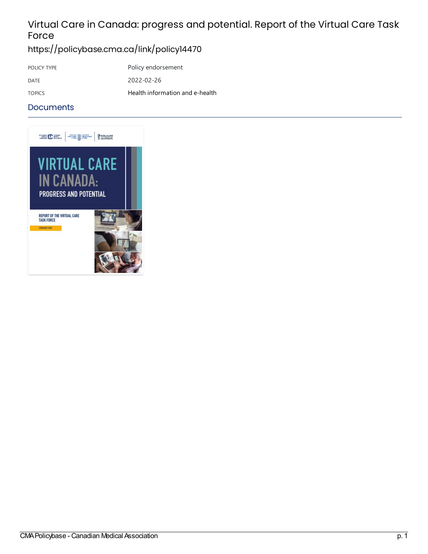## Virtual Care in Canada: progress and potential. Report of the Virtual Care Task Force

### <https://policybase.cma.ca/link/policy14470>

POLICY TYPE Policy endorsement DATE 2022-02-26 TOPICS Health [information](https://policybase.cma.ca/list?q=topic%253A%2522Health%20information%20and%20e-health%2522&p=1&ps=&sort=title_sort%20asc) and e-health

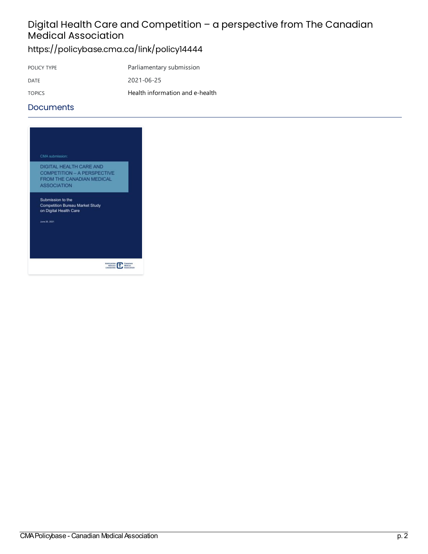## Digital Health Care and Competition - a perspective from The Canadian Medical Association

## <https://policybase.cma.ca/link/policy14444>

| POLICY TYPE   | Parliamentary submission        |
|---------------|---------------------------------|
| DATE          | 2021-06-25                      |
| <b>TOPICS</b> | Health information and e-health |

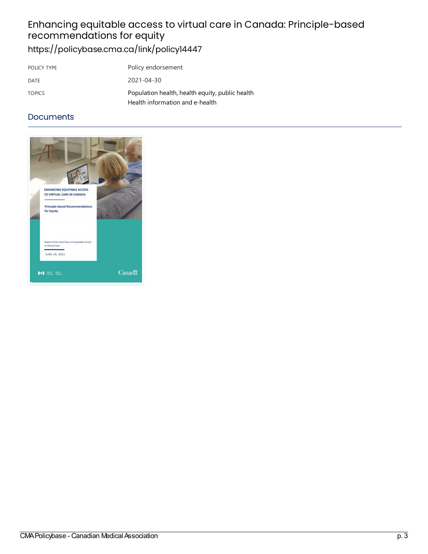## Enhancingequitableaccess tovirtualcarein Canada:Principle-based recommendations forequity <https://policybase.cma.ca/link/policy14447>

| POLICY TYPE   | Policy endorsement                                                                 |
|---------------|------------------------------------------------------------------------------------|
| DATE          | $2021 - 04 - 30$                                                                   |
| <b>TOPICS</b> | Population health, health equity, public health<br>Health information and e-health |

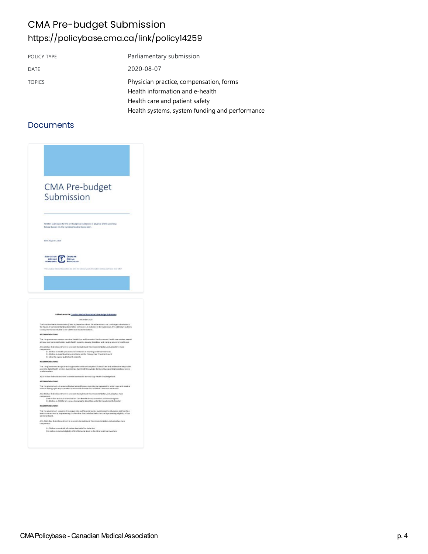## CMA Pre-budget Submission <https://policybase.cma.ca/link/policy14259>

| POLICY TYPE   | Parliamentary submission                                                                                     |
|---------------|--------------------------------------------------------------------------------------------------------------|
| <b>DATE</b>   | 2020-08-07                                                                                                   |
| <b>TOPICS</b> | Physician practice, compensation, forms<br>Health information and e-health<br>Health care and patient safety |
|               | Health systems, system funding and performance                                                               |

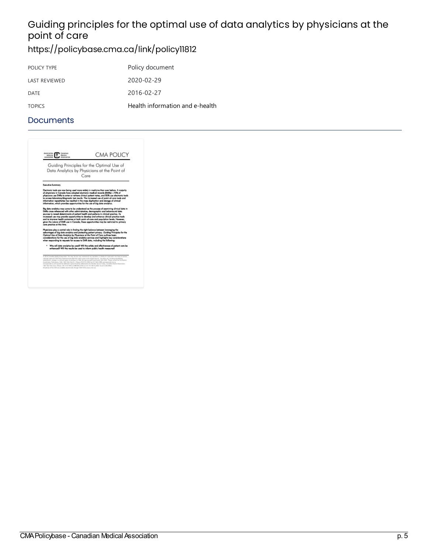## Guiding principles for the optimal use of data analytics by physicians at the point of care

## <https://policybase.cma.ca/link/policy11812>

| POLICY TYPE          | Policy document                 |
|----------------------|---------------------------------|
| <b>LAST REVIEWED</b> | 2020-02-29                      |
| DATE                 | 2016-02-27                      |
| <b>TOPICS</b>        | Health information and e-health |

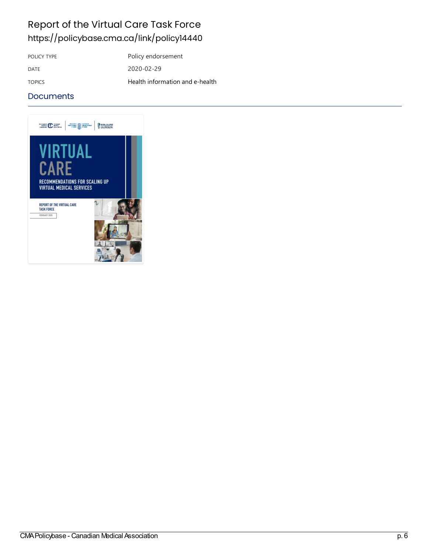## Report of the Virtual Care Task Force <https://policybase.cma.ca/link/policy14440>

POLICY TYPE Policy endorsement

DATE 2020-02-29 TOPICS Health [information](https://policybase.cma.ca/list?q=topic%253A%2522Health%20information%20and%20e-health%2522&p=1&ps=&sort=title_sort%20asc) and e-health

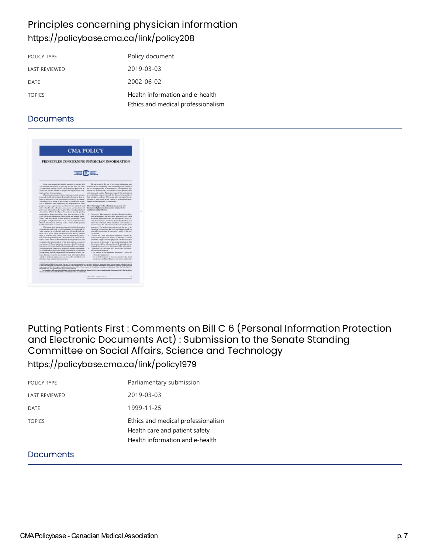## Principles concerning physician information <https://policybase.cma.ca/link/policy208>

| POLICY TYPE          | Policy document                                                       |
|----------------------|-----------------------------------------------------------------------|
| <b>LAST REVIEWED</b> | 2019-03-03                                                            |
| <b>DATE</b>          | 2002-06-02                                                            |
| <b>TOPICS</b>        | Health information and e-health<br>Ethics and medical professionalism |

### **Documents**

| <b>CMA POLICY</b><br>PRINCIPLES CONCERNING PHYSICIAN INFORMATION<br><b>The Community of Second</b> |  |
|----------------------------------------------------------------------------------------------------|--|
|                                                                                                    |  |
|                                                                                                    |  |

## Putting Patients First : Comments on Bill C 6 (Personal Information Protection and Electronic Documents Act) : Submission to the Senate Standing Committee on Social Affairs, Science and Technology

<https://policybase.cma.ca/link/policy1979>

| POLICY TYPE   | Parliamentary submission                                                                                |
|---------------|---------------------------------------------------------------------------------------------------------|
| LAST REVIEWED | 2019-03-03                                                                                              |
| DATE          | 1999-11-25                                                                                              |
| <b>TOPICS</b> | Ethics and medical professionalism<br>Health care and patient safety<br>Health information and e-health |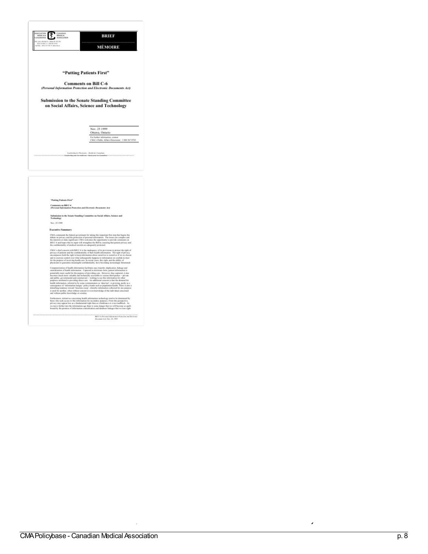| ASSOCIATION<br>CANADIAN<br>Miriscal<br>NITECALE<br>ASSOCIATION                         | BRIEF                                                                                                                                                                                                                                                                                                                                                                                                                                                                                                                                                                                                                                                                                                                                                                                                                                                 |
|----------------------------------------------------------------------------------------|-------------------------------------------------------------------------------------------------------------------------------------------------------------------------------------------------------------------------------------------------------------------------------------------------------------------------------------------------------------------------------------------------------------------------------------------------------------------------------------------------------------------------------------------------------------------------------------------------------------------------------------------------------------------------------------------------------------------------------------------------------------------------------------------------------------------------------------------------------|
| in mon<br>MOLTO REEL - 1 830 787 9722<br>FasTillo, 1973 771 771 - americana            | MÉMOIRE                                                                                                                                                                                                                                                                                                                                                                                                                                                                                                                                                                                                                                                                                                                                                                                                                                               |
|                                                                                        |                                                                                                                                                                                                                                                                                                                                                                                                                                                                                                                                                                                                                                                                                                                                                                                                                                                       |
|                                                                                        | "Putting Patients First"                                                                                                                                                                                                                                                                                                                                                                                                                                                                                                                                                                                                                                                                                                                                                                                                                              |
|                                                                                        | <b>Comments on Bill C-6</b>                                                                                                                                                                                                                                                                                                                                                                                                                                                                                                                                                                                                                                                                                                                                                                                                                           |
|                                                                                        | (Personal Information Protection and Electronic Documents Act)                                                                                                                                                                                                                                                                                                                                                                                                                                                                                                                                                                                                                                                                                                                                                                                        |
|                                                                                        | <b>Submission to the Senate Standing Committee</b><br>on Social Affairs, Science and Technology                                                                                                                                                                                                                                                                                                                                                                                                                                                                                                                                                                                                                                                                                                                                                       |
|                                                                                        | Nov. 25 1999<br>Ottawa, Outario                                                                                                                                                                                                                                                                                                                                                                                                                                                                                                                                                                                                                                                                                                                                                                                                                       |
|                                                                                        | For further information, contact<br>CMA's Public Affairs Discusses: 1880 267-9703                                                                                                                                                                                                                                                                                                                                                                                                                                                                                                                                                                                                                                                                                                                                                                     |
|                                                                                        |                                                                                                                                                                                                                                                                                                                                                                                                                                                                                                                                                                                                                                                                                                                                                                                                                                                       |
|                                                                                        |                                                                                                                                                                                                                                                                                                                                                                                                                                                                                                                                                                                                                                                                                                                                                                                                                                                       |
| "Putting Patients First"                                                               |                                                                                                                                                                                                                                                                                                                                                                                                                                                                                                                                                                                                                                                                                                                                                                                                                                                       |
| Comments on Bill C-6<br>(Personal Information Protection and Electronic Decuments Act) |                                                                                                                                                                                                                                                                                                                                                                                                                                                                                                                                                                                                                                                                                                                                                                                                                                                       |
| Technology                                                                             | Submission to the Sonate Standing Committee on Social Affairs, Science and                                                                                                                                                                                                                                                                                                                                                                                                                                                                                                                                                                                                                                                                                                                                                                            |
| Nav. 25 1996                                                                           |                                                                                                                                                                                                                                                                                                                                                                                                                                                                                                                                                                                                                                                                                                                                                                                                                                                       |
| <b>Executive Summary</b>                                                               |                                                                                                                                                                                                                                                                                                                                                                                                                                                                                                                                                                                                                                                                                                                                                                                                                                                       |
| the confidentiality of medical records are adoptately protested.                       | CMA commends the federal government for taking this important first step that begins the<br>debate on privacy and the pretection of personal information. The issues are complex and<br>the interests at stake significant. CMA welcomes the opportunity to provide comments on<br>ira complex and<br>BHC-6 and hopes that its lapar will strangthen the Bill by assuring that patient privacy and                                                                                                                                                                                                                                                                                                                                                                                                                                                    |
|                                                                                        | CMA's chief concern with Bill C-6 is the inadequacy of its provisions to protect the right of<br>privacy of patients and the confidentiality of their boath information. The right of privacy<br>encompasses both the right to keep information about eurosives to standious if we so choose<br>and to exercise control ever what subsequently happens to information we confide in trast<br>for the perpose of receiving bealth case. In recent years, this right, and the ability of<br>physicians to guarantee meaningful confidentiality, have becoming increasingly threatened.<br>in.<br>Wi                                                                                                                                                                                                                                                     |
| and without public knowledge or scrutiny.                                              | Computerization of health information facilitates easy traveler, deplication, linkage and<br>contralization of health information. Captured in electronic form, patient information is<br>potentially more coatled for the purpose of previding care. However, thus captured, it also<br>becomes much more valuable and technically accessible to various fitted parks: $-$ private and public, geometrical and communical $-$ with the state of the state of the state of the state of the state of the state of the<br>health information, referred to by some commentators as 'data leaf', is growing, partly as a consequence of "information bangry" policy temperature in partly as a<br>consequence of "information bangry" policy temperature and<br>is used for another, often without consume or aven knowledge of the individual concerned |
|                                                                                        | Furthermore, initiatives concerning health information technology tend to be dominated by the continuous to this information for each other purposes. From this property, the prior property of the property of the property<br>to move father into the information age there is some danger that we will become so spell-<br>bound by the promise of information contralization and database linkages that we lose sight                                                                                                                                                                                                                                                                                                                                                                                                                             |

 $\label{eq:1} \begin{minipage}{0.9\linewidth} \textbf{EIC} & \textbf{0} & \textbf{0} & \textbf{0} & \textbf{0} & \textbf{0} & \textbf{0} & \textbf{0} & \textbf{0} & \textbf{0} & \textbf{0} & \textbf{0} & \textbf{0} & \textbf{0} & \textbf{0} & \textbf{0} & \textbf{0} & \textbf{0} & \textbf{0} & \textbf{0} & \textbf{0} & \textbf{0} & \textbf{0} & \textbf{0} & \textbf{0} & \textbf{0} & \textbf{0} & \textbf{0} & \textbf$ 

n <u>c</u> ern

s : C o m m e nts o n

Bill C

5 4  $\overline{\phantom{a}}$ P ers o n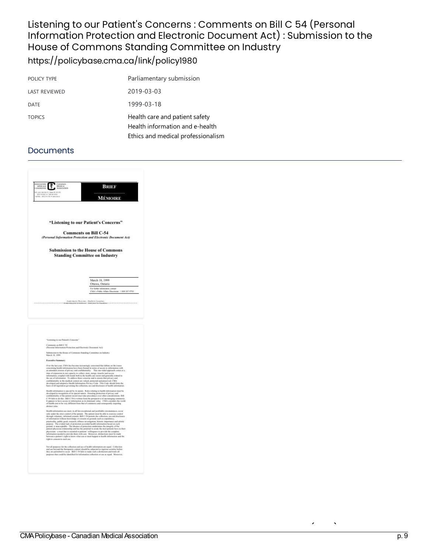### Listening to our Patient's Concerns : Comments on Bill C 54 (Personal Information Protection and Electronic Document Act) : Submission to the House of Commons Standing Committee on Industry <https://policybase.cma.ca/link/policy1980>

| POLICY TYPE   | Parliamentary submission                                                                                |
|---------------|---------------------------------------------------------------------------------------------------------|
| LAST REVIEWED | 2019-03-03                                                                                              |
| <b>DATE</b>   | 1999-03-18                                                                                              |
| <b>TOPICS</b> | Health care and patient safety<br>Health information and e-health<br>Ethics and medical professionalism |

| <b>OCMERIS</b><br>MITREALE<br>CONMISSION<br>MEDICAL<br>ASSOCIATION<br>₹<br><b>HANT</b>                         | Brief                                                                                                                                                                                                                                                                                                                                                                                                                                                                                                                                                                                                                                                                                                                                                                                                                                 |
|----------------------------------------------------------------------------------------------------------------|---------------------------------------------------------------------------------------------------------------------------------------------------------------------------------------------------------------------------------------------------------------------------------------------------------------------------------------------------------------------------------------------------------------------------------------------------------------------------------------------------------------------------------------------------------------------------------------------------------------------------------------------------------------------------------------------------------------------------------------------------------------------------------------------------------------------------------------|
| Si provi em Hencle Jóthan DV en 2016<br>Intel ren 900 - 4 1 minuter 9000<br>Artiko - Jesti cirkitén - samonnoù | .                                                                                                                                                                                                                                                                                                                                                                                                                                                                                                                                                                                                                                                                                                                                                                                                                                     |
|                                                                                                                | <b>MÉMOIRE</b>                                                                                                                                                                                                                                                                                                                                                                                                                                                                                                                                                                                                                                                                                                                                                                                                                        |
|                                                                                                                |                                                                                                                                                                                                                                                                                                                                                                                                                                                                                                                                                                                                                                                                                                                                                                                                                                       |
|                                                                                                                | "Listening to our Patient's Concerns"                                                                                                                                                                                                                                                                                                                                                                                                                                                                                                                                                                                                                                                                                                                                                                                                 |
|                                                                                                                | <b>Comments on Bill C-54</b><br>(Personal Information Protection and Electronic Document Act)                                                                                                                                                                                                                                                                                                                                                                                                                                                                                                                                                                                                                                                                                                                                         |
|                                                                                                                |                                                                                                                                                                                                                                                                                                                                                                                                                                                                                                                                                                                                                                                                                                                                                                                                                                       |
|                                                                                                                | <b>Submission to the House of Commons</b><br><b>Standing Committee on Industry</b>                                                                                                                                                                                                                                                                                                                                                                                                                                                                                                                                                                                                                                                                                                                                                    |
|                                                                                                                | March 18, 1999                                                                                                                                                                                                                                                                                                                                                                                                                                                                                                                                                                                                                                                                                                                                                                                                                        |
|                                                                                                                | Ottawa, Ontario                                                                                                                                                                                                                                                                                                                                                                                                                                                                                                                                                                                                                                                                                                                                                                                                                       |
|                                                                                                                | For further information, contact<br>CMA's Public Affairs Discounts: 1 800 267-9703                                                                                                                                                                                                                                                                                                                                                                                                                                                                                                                                                                                                                                                                                                                                                    |
|                                                                                                                |                                                                                                                                                                                                                                                                                                                                                                                                                                                                                                                                                                                                                                                                                                                                                                                                                                       |
|                                                                                                                |                                                                                                                                                                                                                                                                                                                                                                                                                                                                                                                                                                                                                                                                                                                                                                                                                                       |
| "Listening to our Patient's Concorns"                                                                          |                                                                                                                                                                                                                                                                                                                                                                                                                                                                                                                                                                                                                                                                                                                                                                                                                                       |
| Communs on Bill C 54<br>(Personal Information Protection and Electronic Destaturar Act)                        |                                                                                                                                                                                                                                                                                                                                                                                                                                                                                                                                                                                                                                                                                                                                                                                                                                       |
| March 18, 1997                                                                                                 | Submission to the Heuse of Commons Standing Committee on Industry                                                                                                                                                                                                                                                                                                                                                                                                                                                                                                                                                                                                                                                                                                                                                                     |
| Executive Summary                                                                                              |                                                                                                                                                                                                                                                                                                                                                                                                                                                                                                                                                                                                                                                                                                                                                                                                                                       |
|                                                                                                                | Over the last year, CMA has become increasingly concerned that debate on the issues concerning beakle information have been framed in terms of access to information with<br>an attendant crossien of privacy and confidentiality. This one-sided approach comes at a                                                                                                                                                                                                                                                                                                                                                                                                                                                                                                                                                                 |
|                                                                                                                | tine of expension in our capacity to collect, store, marge, transfer and access<br>information, coupled with meads both in the basic<br>is care such gaustnify related to the use of information. To address those concerns and to means that privacy and<br>$\cdots$                                                                                                                                                                                                                                                                                                                                                                                                                                                                                                                                                                 |
|                                                                                                                | confidentiality in the medical context are valued, premeted and preserved, CMA<br>developed and adopted a Health Information Privacy Code. This Code should form the<br>basis of all legislation governing the collection, use and disclosure of health information.                                                                                                                                                                                                                                                                                                                                                                                                                                                                                                                                                                  |
| distinct rules.                                                                                                | Health information is special by its nature. Redes relating to health information of<br>of basich cars to be very different from that of commerce and consequently requiring                                                                                                                                                                                                                                                                                                                                                                                                                                                                                                                                                                                                                                                          |
| <br>right to consumt to such use.                                                                              | calth information use must, in all but exceptional and justifiable circumstances, ocean<br>only under the strict countel of the patient. The patient must be able to counties control through reduntary, informed consent. Bill C-54 permits the collection, use and disclosure<br>of information without knowledge or consent on grounds such as expediency.<br>is uncertainty, public good, consumit, officials investigation, biotonic importance and artistic practical transformation according to the overlaint of the system of properties. The scheme is seen general, is uncertainty<br>physicians - a trust that is concertal to parlorse ' will ingeness to provide the complete<br>information membel to provide them with care. Memorem, distinctions must be made<br>between a parliam's right to know what can or must |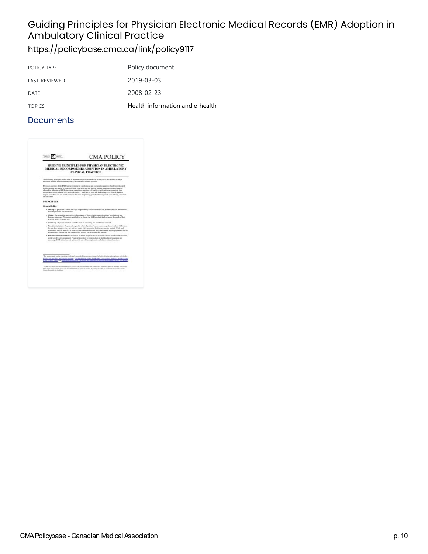# Guiding Principles for Physician Electronic Medical Records (EMR) Adoption in **Ambulatory Clinical Practice**

## <https://policybase.cma.ca/link/policy9117>

| POLICY TYPE          | Policy document                 |
|----------------------|---------------------------------|
| <b>LAST REVIEWED</b> | 2019-03-03                      |
| DATE                 | 2008-02-23                      |
| <b>TOPICS</b>        | Health information and e-health |

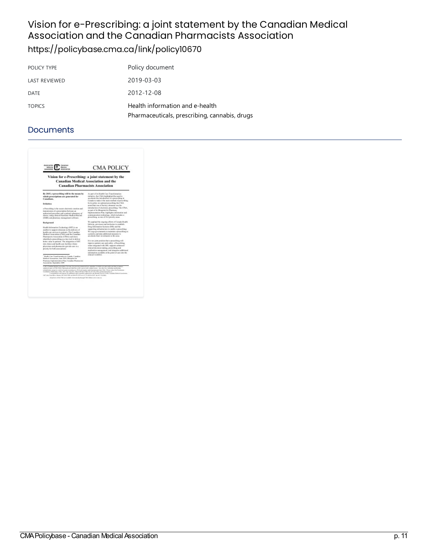### Vision for e-Prescribing: a joint statement by the Canadian Medical Association and the Canadian Pharmacists Association <https://policybase.cma.ca/link/policy10670>

| POLICY TYPE   | Policy document                                                                  |
|---------------|----------------------------------------------------------------------------------|
| LAST REVIEWED | 2019-03-03                                                                       |
| DATE          | 2012-12-08                                                                       |
| <b>TOPICS</b> | Health information and e-health<br>Pharmaceuticals, prescribing, cannabis, drugs |

| <b>Association</b><br>Canaguan<br>MORAIL<br><b>Matrix</b><br><b>EXHAUSTING</b><br><b>ASSOCIATION</b>                                                                                                                                                                                                                                                                                                                                                                                                                                                                                                                                                                                                                                                                                                                                           | <b>CMA POLICY</b>                                                                                                                                                                                                                                                                                                                                                                                                                                                                                                                                                                                                                                                                                                                                                                                                                                                                                                                                                                                                                                              |  |
|------------------------------------------------------------------------------------------------------------------------------------------------------------------------------------------------------------------------------------------------------------------------------------------------------------------------------------------------------------------------------------------------------------------------------------------------------------------------------------------------------------------------------------------------------------------------------------------------------------------------------------------------------------------------------------------------------------------------------------------------------------------------------------------------------------------------------------------------|----------------------------------------------------------------------------------------------------------------------------------------------------------------------------------------------------------------------------------------------------------------------------------------------------------------------------------------------------------------------------------------------------------------------------------------------------------------------------------------------------------------------------------------------------------------------------------------------------------------------------------------------------------------------------------------------------------------------------------------------------------------------------------------------------------------------------------------------------------------------------------------------------------------------------------------------------------------------------------------------------------------------------------------------------------------|--|
| Vision for e-Prescribing: a joint statement by the<br><b>Canadian Medical Association and the</b><br><b>Canadian Pharmacists Association</b>                                                                                                                                                                                                                                                                                                                                                                                                                                                                                                                                                                                                                                                                                                   |                                                                                                                                                                                                                                                                                                                                                                                                                                                                                                                                                                                                                                                                                                                                                                                                                                                                                                                                                                                                                                                                |  |
| its 2015, e-prescribing will be the means by<br>which are cristions are constated for<br>Canadians.<br>Definition<br>a-Passcalling is the secure electronic causion and<br>transmission of a projectipliers between an<br>authorized passenibar and a patient's pharmasy of<br>choice, using clinical Electronic Medical Record<br>(EMR) and phormasy assuggerant software.<br>Reskanceed<br>Health Information Technology (HIT) is an<br>making to supercet clinicians in the delivery of<br>lealth case survices to pidents. The Canadian<br>Medical Association (CMA) and the Canadian<br>Playmanists Association (CPM) each have<br>identified e-prescribing as a key tool to deliver<br>botter value to parisons. The integration of HIT<br>into chinics and box30s care facilities where-<br>physicians and pharmacids provide care is a | As part effectionship Care Transformation<br>initiation, that CMA highlighted the need to<br>accelerate the instrukturion of a presentiting in-<br>Canada to rasks it the main method of promything.<br>In its palier, an entimal proceeding the CMA.<br>noted that you of the key olympic was the<br>introduction of slucturaic preceding. The CP&4,<br>as part of its Elegeniat for Pharmacy<br>Implementation Plan, highlights information and<br>communication technology, which includes a-<br>prescribing, as one of five principy areas.<br>We applaud the ougoing efforts of Canada Health<br>Informe, provinces and territories to ostablish<br>Day Information Systems (DIS) and the<br>supporting infrastructure to cautiful proversibility.<br>To use governments to maintain a prescribing as<br>a priscipy and take additional monetrys to<br>accelerate their investments in this area.<br>It is out joint position that a -prescribing will<br>ingerone patient cure and safety. a-Prescribing.<br>when integrated with DBI, supports enhanced |  |
| pricelty for both associations .<br>Realth Case Transformation in Canada, Canadian<br>Medical Accountine, June 2008; Bloomini for<br>Fluence Inglywooden Flat Canadas Parmaces.<br>Announciation, Reprisember 2009                                                                                                                                                                                                                                                                                                                                                                                                                                                                                                                                                                                                                             | chinical decision-making, prescribing and<br>medication numerousnet, and integrates additional<br>information available at the point of care into the<br>classed workflow.                                                                                                                                                                                                                                                                                                                                                                                                                                                                                                                                                                                                                                                                                                                                                                                                                                                                                     |  |
| 1-26' > Funding Modeal Association. You may, for past two constanted acc reproduct, in while at is par and/or sty time at means to<br>admited open of NAA Police Kacmann presided that result is given to the prighted goine. Any other may including expedited ing.<br>solutificates, energy to construit spaces or putting as a Richale register reglia transmission from CMA. Photocolonical the Periodistics<br>Combane Publication, CMA, 1807 and Vice 38, One a OCO C C PUB she (ET BEC/MA permanent) area as<br>1467 Also Vice-Select Greens, 406 \$100 KWIs ad mot A14, 2001 and 11 Th Limited Clief - Ins 611 234, 684.<br>All printers of the Child are evaluate eincreasurily through Chile, their retreatments                                                                                                                     | Cartespondence and regions for additional aspire standards addressed to the Member Genite Canadian Medical Academists                                                                                                                                                                                                                                                                                                                                                                                                                                                                                                                                                                                                                                                                                                                                                                                                                                                                                                                                          |  |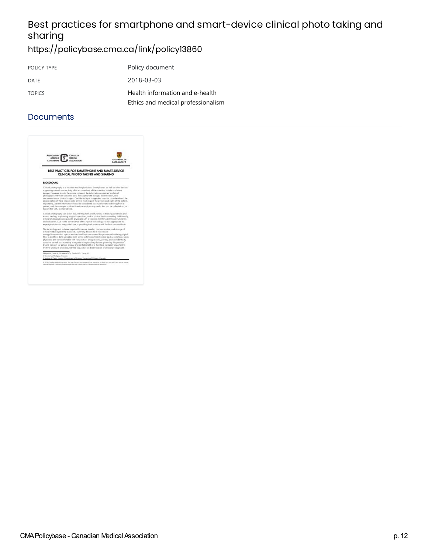## Best practices for smartphone and smart-device clinical photo taking and sharing

## <https://policybase.cma.ca/link/policy13860>

| POLICY TYPE   | Policy document                    |
|---------------|------------------------------------|
| DATE          | 2018-03-03                         |
| <b>TOPICS</b> | Health information and e-health    |
|               | Ethics and medical professionalism |

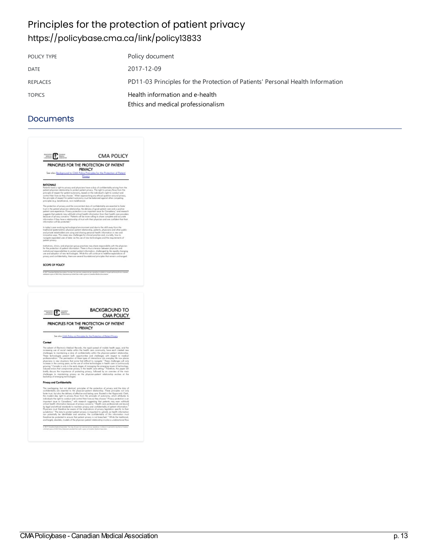## Principles for the protection of patient privacy <https://policybase.cma.ca/link/policy13833>

| POLICY TYPE   | Policy document                                                                |
|---------------|--------------------------------------------------------------------------------|
| DATE          | 2017-12-09                                                                     |
| REPLACES      | PD11-03 Principles for the Protection of Patients' Personal Health Information |
| <b>TOPICS</b> | Health information and e-health<br>Ethics and medical professionalism          |

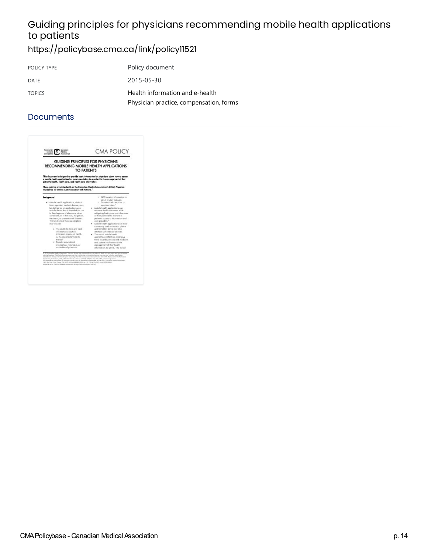## Guiding principles for physicians recommending mobile health applications to patients

<https://policybase.cma.ca/link/policy11521>

| POLICY TYPE   | Policy document                                                            |
|---------------|----------------------------------------------------------------------------|
| DATE          | 2015-05-30                                                                 |
| <b>TOPICS</b> | Health information and e-health<br>Physician practice, compensation, forms |

| GUIDING PRINCIPLES FOR PHYSICIANS<br>RECOMMENDING MOBILE HEALTH APPLICATIONS<br>TO PATIENTS                                                                                                                                                                                                                                                                                                                                                                                                                                                                                          |                                                                                                                                                                                                                                                                                                                                                                                                                                                                                                                                                                                                                                                                                                         |  |
|--------------------------------------------------------------------------------------------------------------------------------------------------------------------------------------------------------------------------------------------------------------------------------------------------------------------------------------------------------------------------------------------------------------------------------------------------------------------------------------------------------------------------------------------------------------------------------------|---------------------------------------------------------------------------------------------------------------------------------------------------------------------------------------------------------------------------------------------------------------------------------------------------------------------------------------------------------------------------------------------------------------------------------------------------------------------------------------------------------------------------------------------------------------------------------------------------------------------------------------------------------------------------------------------------------|--|
| This document is designed to provide basic information for physicians obout how to essess<br>a mobile health application for recommendation to a patient in the management of that<br>potent's hooth, health care, and health care information.<br>These guiding principles build on the Canadian Medical Association's (CMA) Physician<br>Guidelines for Chiline Communication with Potteria."                                                                                                                                                                                      |                                                                                                                                                                                                                                                                                                                                                                                                                                                                                                                                                                                                                                                                                                         |  |
| Background<br>· Mobile health agalications, distinct<br>from regulated medical devices; may<br>be defined as an application on a<br>mobile device that is intended for use<br>is the dispects of disease or other<br>conditions, or in the cure, initiation,<br>tischnest or areverfan of disease.<br>The functions of these ppplications<br>may include:<br>o. The ability to store and track<br>information about an<br>individual or group's health.<br>or the social determinants.<br>therach.<br>o Pariodic aducational<br>information, reminders, or<br>motivational quidance; | o GPS location information to<br>direct or glert potients;<br>o. Stonekodized checklists or<br>suettiannaires."<br>· Mobile health goal jostions can<br>enhance begith outcomes while<br>reitigating begith care page because<br>of their potential to improve a<br>potient's access to information and<br>cars providers. <sup>1</sup><br>. Wobile health applications are most<br>commonly used on a smart phone<br>and/ar tablet. Same may also<br>interface with readical devices.<br>. The use of mobile health.<br>applications reflects on energing<br>trand towards personalized medicine<br>and patient involvement in the<br>management of their health.<br>istorration, Br 2016, 142 million |  |